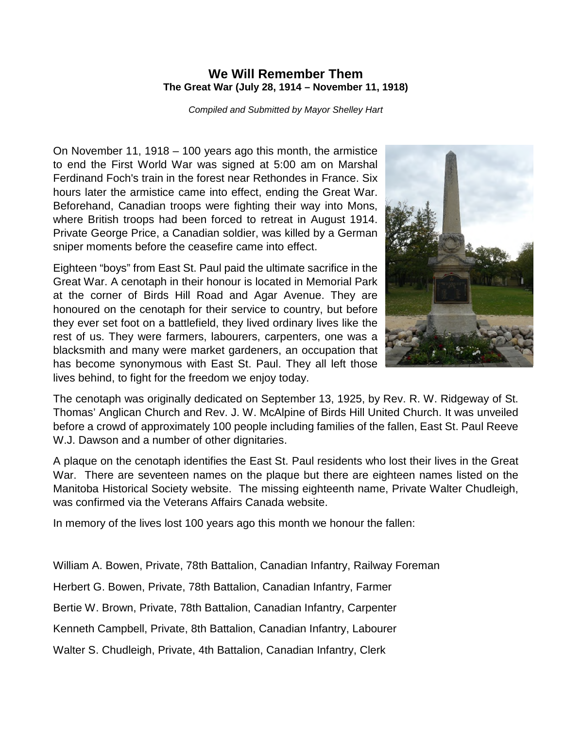## **We Will Remember Them The Great War (July 28, 1914 – November 11, 1918)**

*Compiled and Submitted by Mayor Shelley Hart* 

On November 11, 1918 – 100 years ago this month, the armistice to end the First World War was signed at 5:00 am on Marshal Ferdinand Foch's train in the forest near Rethondes in France. Six hours later the armistice came into effect, ending the Great War. Beforehand, Canadian troops were fighting their way into Mons, where British troops had been forced to retreat in August 1914. Private George Price, a Canadian soldier, was killed by a German sniper moments before the ceasefire came into effect.

Eighteen "boys" from East St. Paul paid the ultimate sacrifice in the Great War. A cenotaph in their honour is located in Memorial Park at the corner of Birds Hill Road and Agar Avenue. They are honoured on the cenotaph for their service to country, but before they ever set foot on a battlefield, they lived ordinary lives like the rest of us. They were farmers, labourers, carpenters, one was a blacksmith and many were market gardeners, an occupation that has become synonymous with East St. Paul. They all left those lives behind, to fight for the freedom we enjoy today.



The cenotaph was originally dedicated on September 13, 1925, by Rev. R. W. Ridgeway of St. Thomas' Anglican Church and Rev. J. W. McAlpine of Birds Hill United Church. It was unveiled before a crowd of approximately 100 people including families of the fallen, East St. Paul Reeve W.J. Dawson and a number of other dignitaries.

A plaque on the cenotaph identifies the East St. Paul residents who lost their lives in the Great War. There are seventeen names on the plaque but there are eighteen names listed on the Manitoba Historical Society website. The missing eighteenth name, Private Walter Chudleigh, was confirmed via the Veterans Affairs Canada website.

In memory of the lives lost 100 years ago this month we honour the fallen:

William A. Bowen, Private, 78th Battalion, Canadian Infantry, Railway Foreman

Herbert G. Bowen, Private, 78th Battalion, Canadian Infantry, Farmer

Bertie W. Brown, Private, 78th Battalion, Canadian Infantry, Carpenter

Kenneth Campbell, Private, 8th Battalion, Canadian Infantry, Labourer

Walter S. Chudleigh, Private, 4th Battalion, Canadian Infantry, Clerk